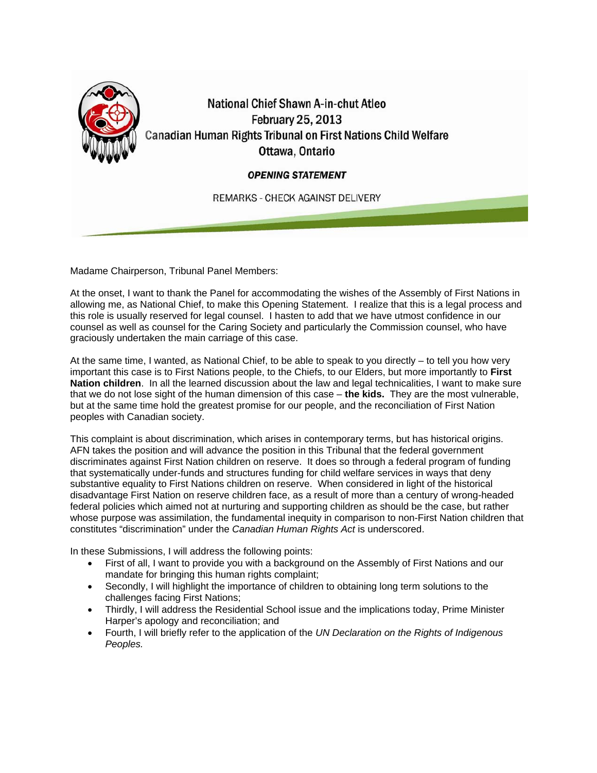

Madame Chairperson, Tribunal Panel Members:

At the onset, I want to thank the Panel for accommodating the wishes of the Assembly of First Nations in allowing me, as National Chief, to make this Opening Statement. I realize that this is a legal process and this role is usually reserved for legal counsel. I hasten to add that we have utmost confidence in our counsel as well as counsel for the Caring Society and particularly the Commission counsel, who have graciously undertaken the main carriage of this case.

At the same time, I wanted, as National Chief, to be able to speak to you directly – to tell you how very important this case is to First Nations people, to the Chiefs, to our Elders, but more importantly to **First Nation children**. In all the learned discussion about the law and legal technicalities, I want to make sure that we do not lose sight of the human dimension of this case – **the kids.** They are the most vulnerable, but at the same time hold the greatest promise for our people, and the reconciliation of First Nation peoples with Canadian society.

This complaint is about discrimination, which arises in contemporary terms, but has historical origins. AFN takes the position and will advance the position in this Tribunal that the federal government discriminates against First Nation children on reserve. It does so through a federal program of funding that systematically under-funds and structures funding for child welfare services in ways that deny substantive equality to First Nations children on reserve. When considered in light of the historical disadvantage First Nation on reserve children face, as a result of more than a century of wrong-headed federal policies which aimed not at nurturing and supporting children as should be the case, but rather whose purpose was assimilation, the fundamental inequity in comparison to non-First Nation children that constitutes "discrimination" under the *Canadian Human Rights Act* is underscored.

In these Submissions, I will address the following points:

- First of all, I want to provide you with a background on the Assembly of First Nations and our mandate for bringing this human rights complaint;
- Secondly, I will highlight the importance of children to obtaining long term solutions to the challenges facing First Nations;
- Thirdly, I will address the Residential School issue and the implications today, Prime Minister Harper's apology and reconciliation; and
- Fourth, I will briefly refer to the application of the *UN Declaration on the Rights of Indigenous Peoples.*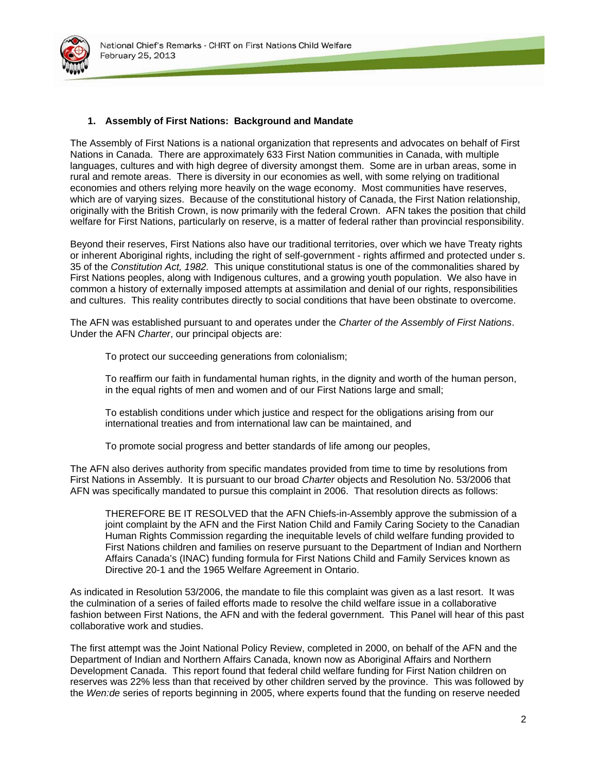

### **1. Assembly of First Nations: Background and Mandate**

The Assembly of First Nations is a national organization that represents and advocates on behalf of First Nations in Canada. There are approximately 633 First Nation communities in Canada, with multiple languages, cultures and with high degree of diversity amongst them. Some are in urban areas, some in rural and remote areas. There is diversity in our economies as well, with some relying on traditional economies and others relying more heavily on the wage economy. Most communities have reserves, which are of varying sizes. Because of the constitutional history of Canada, the First Nation relationship, originally with the British Crown, is now primarily with the federal Crown. AFN takes the position that child welfare for First Nations, particularly on reserve, is a matter of federal rather than provincial responsibility.

Beyond their reserves, First Nations also have our traditional territories, over which we have Treaty rights or inherent Aboriginal rights, including the right of self-government - rights affirmed and protected under s. 35 of the *Constitution Act, 1982.* This unique constitutional status is one of the commonalities shared by First Nations peoples, along with Indigenous cultures, and a growing youth population. We also have in common a history of externally imposed attempts at assimilation and denial of our rights, responsibilities and cultures. This reality contributes directly to social conditions that have been obstinate to overcome.

The AFN was established pursuant to and operates under the *Charter of the Assembly of First Nations*. Under the AFN *Charter*, our principal objects are:

To protect our succeeding generations from colonialism;

To reaffirm our faith in fundamental human rights, in the dignity and worth of the human person, in the equal rights of men and women and of our First Nations large and small;

To establish conditions under which justice and respect for the obligations arising from our international treaties and from international law can be maintained, and

To promote social progress and better standards of life among our peoples,

The AFN also derives authority from specific mandates provided from time to time by resolutions from First Nations in Assembly. It is pursuant to our broad *Charter* objects and Resolution No. 53/2006 that AFN was specifically mandated to pursue this complaint in 2006. That resolution directs as follows:

THEREFORE BE IT RESOLVED that the AFN Chiefs-in-Assembly approve the submission of a joint complaint by the AFN and the First Nation Child and Family Caring Society to the Canadian Human Rights Commission regarding the inequitable levels of child welfare funding provided to First Nations children and families on reserve pursuant to the Department of Indian and Northern Affairs Canada's (INAC) funding formula for First Nations Child and Family Services known as Directive 20-1 and the 1965 Welfare Agreement in Ontario.

As indicated in Resolution 53/2006, the mandate to file this complaint was given as a last resort. It was the culmination of a series of failed efforts made to resolve the child welfare issue in a collaborative fashion between First Nations, the AFN and with the federal government. This Panel will hear of this past collaborative work and studies.

The first attempt was the Joint National Policy Review, completed in 2000, on behalf of the AFN and the Department of Indian and Northern Affairs Canada, known now as Aboriginal Affairs and Northern Development Canada. This report found that federal child welfare funding for First Nation children on reserves was 22% less than that received by other children served by the province. This was followed by the *Wen:de* series of reports beginning in 2005, where experts found that the funding on reserve needed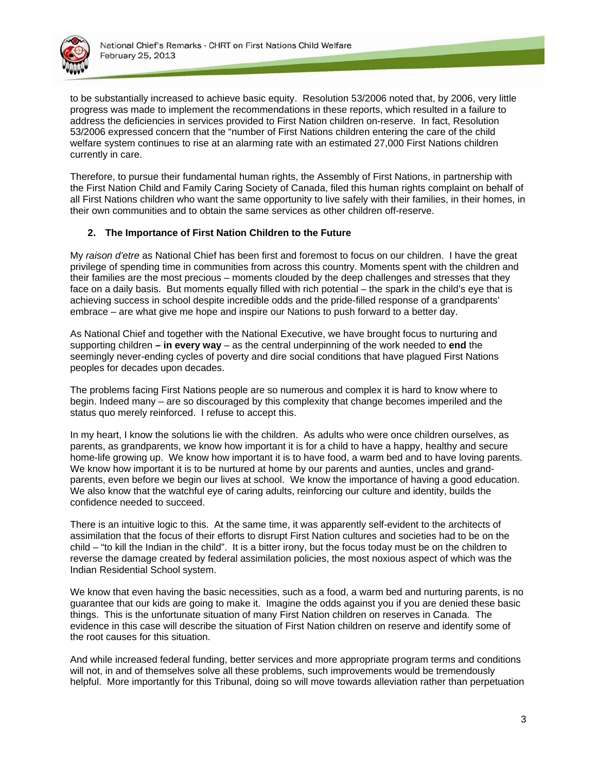

to be substantially increased to achieve basic equity. Resolution 53/2006 noted that, by 2006, very little progress was made to implement the recommendations in these reports, which resulted in a failure to address the deficiencies in services provided to First Nation children on-reserve. In fact, Resolution 53/2006 expressed concern that the "number of First Nations children entering the care of the child welfare system continues to rise at an alarming rate with an estimated 27,000 First Nations children currently in care.

Therefore, to pursue their fundamental human rights, the Assembly of First Nations, in partnership with the First Nation Child and Family Caring Society of Canada, filed this human rights complaint on behalf of all First Nations children who want the same opportunity to live safely with their families, in their homes, in their own communities and to obtain the same services as other children off-reserve.

# **2. The Importance of First Nation Children to the Future**

My *raison d'etre* as National Chief has been first and foremost to focus on our children. I have the great privilege of spending time in communities from across this country. Moments spent with the children and their families are the most precious – moments clouded by the deep challenges and stresses that they face on a daily basis. But moments equally filled with rich potential – the spark in the child's eye that is achieving success in school despite incredible odds and the pride-filled response of a grandparents' embrace – are what give me hope and inspire our Nations to push forward to a better day.

As National Chief and together with the National Executive, we have brought focus to nurturing and supporting children **– in every way** – as the central underpinning of the work needed to **end** the seemingly never-ending cycles of poverty and dire social conditions that have plagued First Nations peoples for decades upon decades.

The problems facing First Nations people are so numerous and complex it is hard to know where to begin. Indeed many – are so discouraged by this complexity that change becomes imperiled and the status quo merely reinforced. I refuse to accept this.

In my heart, I know the solutions lie with the children. As adults who were once children ourselves, as parents, as grandparents, we know how important it is for a child to have a happy, healthy and secure home-life growing up. We know how important it is to have food, a warm bed and to have loving parents. We know how important it is to be nurtured at home by our parents and aunties, uncles and grandparents, even before we begin our lives at school. We know the importance of having a good education. We also know that the watchful eye of caring adults, reinforcing our culture and identity, builds the confidence needed to succeed.

There is an intuitive logic to this. At the same time, it was apparently self-evident to the architects of assimilation that the focus of their efforts to disrupt First Nation cultures and societies had to be on the child – "to kill the Indian in the child". It is a bitter irony, but the focus today must be on the children to reverse the damage created by federal assimilation policies, the most noxious aspect of which was the Indian Residential School system.

We know that even having the basic necessities, such as a food, a warm bed and nurturing parents, is no guarantee that our kids are going to make it. Imagine the odds against you if you are denied these basic things. This is the unfortunate situation of many First Nation children on reserves in Canada. The evidence in this case will describe the situation of First Nation children on reserve and identify some of the root causes for this situation.

And while increased federal funding, better services and more appropriate program terms and conditions will not, in and of themselves solve all these problems, such improvements would be tremendously helpful. More importantly for this Tribunal, doing so will move towards alleviation rather than perpetuation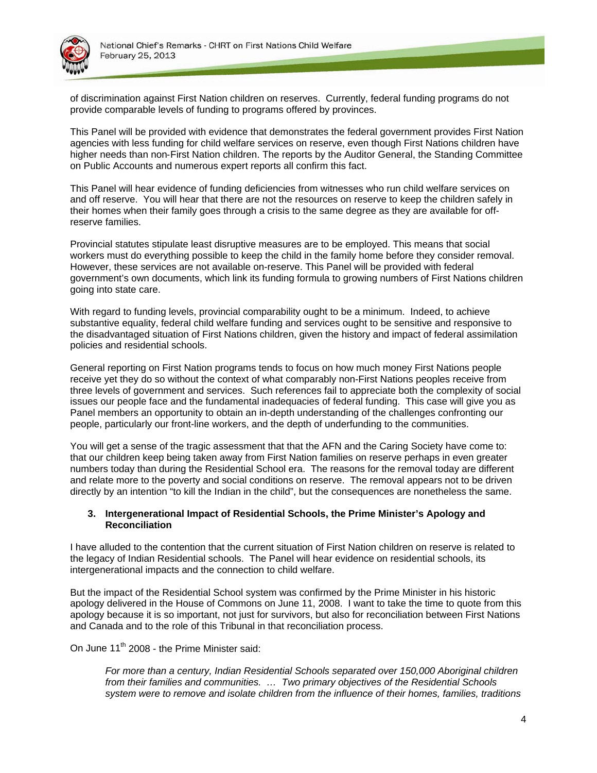

of discrimination against First Nation children on reserves. Currently, federal funding programs do not provide comparable levels of funding to programs offered by provinces.

This Panel will be provided with evidence that demonstrates the federal government provides First Nation agencies with less funding for child welfare services on reserve, even though First Nations children have higher needs than non-First Nation children. The reports by the Auditor General, the Standing Committee on Public Accounts and numerous expert reports all confirm this fact.

This Panel will hear evidence of funding deficiencies from witnesses who run child welfare services on and off reserve. You will hear that there are not the resources on reserve to keep the children safely in their homes when their family goes through a crisis to the same degree as they are available for offreserve families.

Provincial statutes stipulate least disruptive measures are to be employed. This means that social workers must do everything possible to keep the child in the family home before they consider removal. However, these services are not available on-reserve. This Panel will be provided with federal government's own documents, which link its funding formula to growing numbers of First Nations children going into state care.

With regard to funding levels, provincial comparability ought to be a minimum. Indeed, to achieve substantive equality, federal child welfare funding and services ought to be sensitive and responsive to the disadvantaged situation of First Nations children, given the history and impact of federal assimilation policies and residential schools.

General reporting on First Nation programs tends to focus on how much money First Nations people receive yet they do so without the context of what comparably non-First Nations peoples receive from three levels of government and services. Such references fail to appreciate both the complexity of social issues our people face and the fundamental inadequacies of federal funding. This case will give you as Panel members an opportunity to obtain an in-depth understanding of the challenges confronting our people, particularly our front-line workers, and the depth of underfunding to the communities.

You will get a sense of the tragic assessment that that the AFN and the Caring Society have come to: that our children keep being taken away from First Nation families on reserve perhaps in even greater numbers today than during the Residential School era. The reasons for the removal today are different and relate more to the poverty and social conditions on reserve. The removal appears not to be driven directly by an intention "to kill the Indian in the child", but the consequences are nonetheless the same.

#### **3. Intergenerational Impact of Residential Schools, the Prime Minister's Apology and Reconciliation**

I have alluded to the contention that the current situation of First Nation children on reserve is related to the legacy of Indian Residential schools. The Panel will hear evidence on residential schools, its intergenerational impacts and the connection to child welfare.

But the impact of the Residential School system was confirmed by the Prime Minister in his historic apology delivered in the House of Commons on June 11, 2008. I want to take the time to quote from this apology because it is so important, not just for survivors, but also for reconciliation between First Nations and Canada and to the role of this Tribunal in that reconciliation process.

On June  $11<sup>th</sup>$  2008 - the Prime Minister said:

*For more than a century, Indian Residential Schools separated over 150,000 Aboriginal children from their families and communities. … Two primary objectives of the Residential Schools system were to remove and isolate children from the influence of their homes, families, traditions*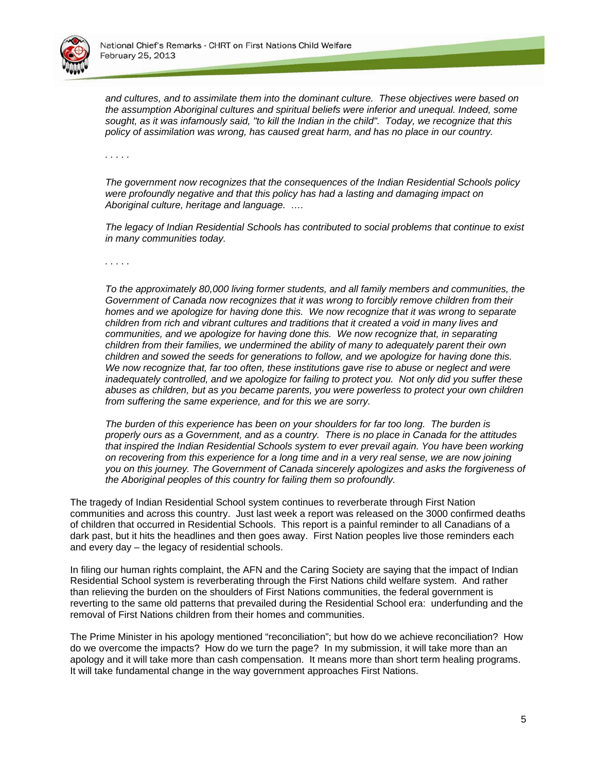

*and cultures, and to assimilate them into the dominant culture. These objectives were based on the assumption Aboriginal cultures and spiritual beliefs were inferior and unequal. Indeed, some sought, as it was infamously said, "to kill the Indian in the child". Today, we recognize that this policy of assimilation was wrong, has caused great harm, and has no place in our country.* 

*. . . . .* 

*The government now recognizes that the consequences of the Indian Residential Schools policy were profoundly negative and that this policy has had a lasting and damaging impact on Aboriginal culture, heritage and language. ….* 

*The legacy of Indian Residential Schools has contributed to social problems that continue to exist in many communities today.* 

*. . . . .* 

*To the approximately 80,000 living former students, and all family members and communities, the Government of Canada now recognizes that it was wrong to forcibly remove children from their homes and we apologize for having done this. We now recognize that it was wrong to separate children from rich and vibrant cultures and traditions that it created a void in many lives and communities, and we apologize for having done this. We now recognize that, in separating children from their families, we undermined the ability of many to adequately parent their own children and sowed the seeds for generations to follow, and we apologize for having done this. We now recognize that, far too often, these institutions gave rise to abuse or neglect and were inadequately controlled, and we apologize for failing to protect you. Not only did you suffer these abuses as children, but as you became parents, you were powerless to protect your own children from suffering the same experience, and for this we are sorry.* 

*The burden of this experience has been on your shoulders for far too long. The burden is properly ours as a Government, and as a country. There is no place in Canada for the attitudes that inspired the Indian Residential Schools system to ever prevail again. You have been working on recovering from this experience for a long time and in a very real sense, we are now joining you on this journey. The Government of Canada sincerely apologizes and asks the forgiveness of the Aboriginal peoples of this country for failing them so profoundly.* 

The tragedy of Indian Residential School system continues to reverberate through First Nation communities and across this country. Just last week a report was released on the 3000 confirmed deaths of children that occurred in Residential Schools. This report is a painful reminder to all Canadians of a dark past, but it hits the headlines and then goes away. First Nation peoples live those reminders each and every day – the legacy of residential schools.

In filing our human rights complaint, the AFN and the Caring Society are saying that the impact of Indian Residential School system is reverberating through the First Nations child welfare system. And rather than relieving the burden on the shoulders of First Nations communities, the federal government is reverting to the same old patterns that prevailed during the Residential School era: underfunding and the removal of First Nations children from their homes and communities.

The Prime Minister in his apology mentioned "reconciliation"; but how do we achieve reconciliation? How do we overcome the impacts? How do we turn the page? In my submission, it will take more than an apology and it will take more than cash compensation. It means more than short term healing programs. It will take fundamental change in the way government approaches First Nations.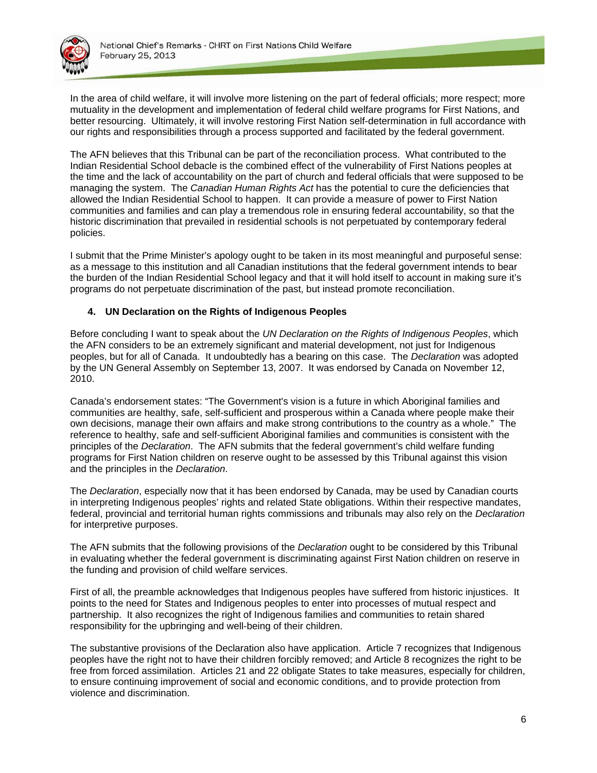

In the area of child welfare, it will involve more listening on the part of federal officials; more respect; more mutuality in the development and implementation of federal child welfare programs for First Nations, and better resourcing. Ultimately, it will involve restoring First Nation self-determination in full accordance with our rights and responsibilities through a process supported and facilitated by the federal government.

The AFN believes that this Tribunal can be part of the reconciliation process. What contributed to the Indian Residential School debacle is the combined effect of the vulnerability of First Nations peoples at the time and the lack of accountability on the part of church and federal officials that were supposed to be managing the system. The *Canadian Human Rights Act* has the potential to cure the deficiencies that allowed the Indian Residential School to happen. It can provide a measure of power to First Nation communities and families and can play a tremendous role in ensuring federal accountability, so that the historic discrimination that prevailed in residential schools is not perpetuated by contemporary federal policies.

I submit that the Prime Minister's apology ought to be taken in its most meaningful and purposeful sense: as a message to this institution and all Canadian institutions that the federal government intends to bear the burden of the Indian Residential School legacy and that it will hold itself to account in making sure it's programs do not perpetuate discrimination of the past, but instead promote reconciliation.

# **4. UN Declaration on the Rights of Indigenous Peoples**

Before concluding I want to speak about the *UN Declaration on the Rights of Indigenous Peoples*, which the AFN considers to be an extremely significant and material development, not just for Indigenous peoples, but for all of Canada. It undoubtedly has a bearing on this case. The *Declaration* was adopted by the UN General Assembly on September 13, 2007. It was endorsed by Canada on November 12, 2010.

Canada's endorsement states: "The Government's vision is a future in which Aboriginal families and communities are healthy, safe, self-sufficient and prosperous within a Canada where people make their own decisions, manage their own affairs and make strong contributions to the country as a whole." The reference to healthy, safe and self-sufficient Aboriginal families and communities is consistent with the principles of the *Declaration*. The AFN submits that the federal government's child welfare funding programs for First Nation children on reserve ought to be assessed by this Tribunal against this vision and the principles in the *Declaration*.

The *Declaration*, especially now that it has been endorsed by Canada, may be used by Canadian courts in interpreting Indigenous peoples' rights and related State obligations. Within their respective mandates, federal, provincial and territorial human rights commissions and tribunals may also rely on the *Declaration* for interpretive purposes.

The AFN submits that the following provisions of the *Declaration* ought to be considered by this Tribunal in evaluating whether the federal government is discriminating against First Nation children on reserve in the funding and provision of child welfare services.

First of all, the preamble acknowledges that Indigenous peoples have suffered from historic injustices. It points to the need for States and Indigenous peoples to enter into processes of mutual respect and partnership. It also recognizes the right of Indigenous families and communities to retain shared responsibility for the upbringing and well-being of their children.

The substantive provisions of the Declaration also have application. Article 7 recognizes that Indigenous peoples have the right not to have their children forcibly removed; and Article 8 recognizes the right to be free from forced assimilation. Articles 21 and 22 obligate States to take measures, especially for children, to ensure continuing improvement of social and economic conditions, and to provide protection from violence and discrimination.